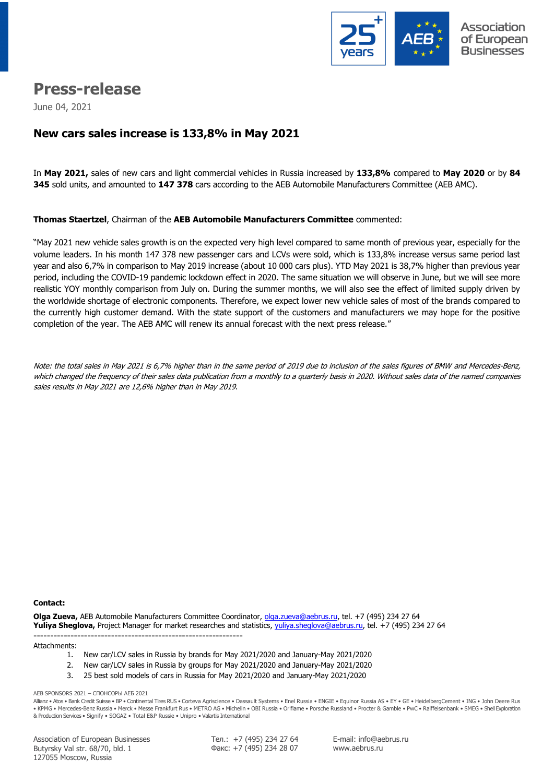

# **Press-release**

June 04, 2021

## **New cars sales increase is 133,8% in May 2021**

In **May 2021,** sales of new cars and light commercial vehicles in Russia increased by **133,8%** compared to **May 2020** or by **84 345** sold units, and amounted to **147 378** cars according to the AEB Automobile Manufacturers Committee (AEB AMC).

#### **Thomas Staertzel**, Chairman of the **AEB Automobile Manufacturers Committee** commented:

"May 2021 new vehicle sales growth is on the expected very high level compared to same month of previous year, especially for the volume leaders. In his month 147 378 new passenger cars and LCVs were sold, which is 133,8% increase versus same period last year and also 6,7% in comparison to May 2019 increase (about 10 000 cars plus). YTD May 2021 is 38,7% higher than previous year period, including the COVID-19 pandemic lockdown effect in 2020. The same situation we will observe in June, but we will see more realistic YOY monthly comparison from July on. During the summer months, we will also see the effect of limited supply driven by the worldwide shortage of electronic components. Therefore, we expect lower new vehicle sales of most of the brands compared to the currently high customer demand. With the state support of the customers and manufacturers we may hope for the positive completion of the year. The AEB AMC will renew its annual forecast with the next press release."

Note: the total sales in May 2021 is 6,7% higher than in the same period of 2019 due to inclusion of the sales figures of BMW and Mercedes-Benz, which changed the frequency of their sales data publication from a monthly to a quarterly basis in 2020. Without sales data of the named companies sales results in May 2021 are 12,6% higher than in May 2019.

#### **Сontact:**

**Olga Zueva,** AEB Automobile Manufacturers Committee Coordinator, [olga.zueva@aebrus.ru,](mailto:olga.zueva@aebrus.ru) tel. +7 (495) 234 27 64 **Yuliya Sheglova,** Project Manager for market researches and statistics, [yuliya.sheglova@aebrus.ru,](mailto:yuliya.sheglova@aebrus.ru) tel. +7 (495) 234 27 64

-------------------------------------------------------------- Attachments:

- 1. New car/LCV sales in Russia by brands for May 2021/2020 and January-May 2021/2020
- 2. New car/LCV sales in Russia by groups for May 2021/2020 and January-May 2021/2020
- 3. 25 best sold models of cars in Russia for May 2021/2020 and January-May 2021/2020

AEB SPONSORS 2021 – СПОНСОРЫ АЕБ 2021

Allianz • Atos • Bank Credit Suisse • BP • Continental Tires RUS • Corteva Agriscience • Dassault Systems • Enel Russia • ENGIE • Equinor Russia AS • EY • GE • HeidelbergCement • ING • John Deere Rus • KPMG • Mercedes-Benz Russia • Merck • Messe Frankfurt Rus • METRO AG • Michelin • OBI Russia • Oriflame • Porsche Russland • Procter & Gamble • PwC • Raiffeisenbank • SMEG • Shell Exploration & Production Services • Signify • SOGAZ • Total E&P Russie • Unipro • Valartis International

Association of European Businesses Butyrsky Val str. 68/70, bld. 1 127055 Moscow, Russia

Тел.: +7 (495) 234 27 64 Факс: +7 (495) 234 28 07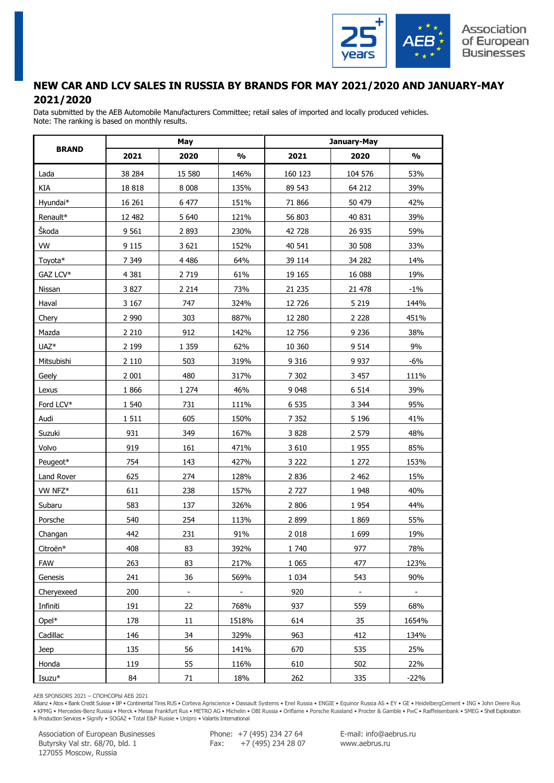

#### **NEW CAR AND LCV SALES IN RUSSIA BY BRANDS FOR MAY 2021/2020 AND JANUARY-MAY 2021/2020**

Data submitted by the AEB Automobile Manufacturers Committee; retail sales of imported and locally produced vehicles. Note: The ranking is based on monthly results.

|                  |         | May            |               | January-May |                |        |  |  |  |
|------------------|---------|----------------|---------------|-------------|----------------|--------|--|--|--|
| <b>BRAND</b>     | 2021    | 2020           | $\frac{0}{0}$ | 2021        | 2020           | %      |  |  |  |
| Lada             | 38 284  | 15 580         | 146%          | 160 123     | 104 576        | 53%    |  |  |  |
| KIA              | 18818   | 8 0 0 8        | 135%          | 89 543      | 64 212         | 39%    |  |  |  |
| Hyundai*         | 16 26 1 | 6 477          | 151%          | 71 866      | 50 479         | 42%    |  |  |  |
| Renault*         | 12 482  | 5 6 4 0        | 121%          | 56 803      | 40 831         | 39%    |  |  |  |
| Škoda            | 9 5 6 1 | 2 8 9 3        | 230%          | 42 728      | 26 935         | 59%    |  |  |  |
| <b>VW</b>        | 9 1 1 5 | 3 6 21         | 152%          | 40 541      | 30 508         | 33%    |  |  |  |
| Toyota*          | 7 3 4 9 | 4 4 8 6        | 64%           | 39 114      | 34 282         | 14%    |  |  |  |
| GAZ LCV*         | 4 3 8 1 | 2 7 1 9        | 61%           | 19 165      | 16 088         | 19%    |  |  |  |
| Nissan           | 3827    | 2 2 1 4        | 73%           | 21 2 35     | 21 478         | $-1%$  |  |  |  |
| Haval            | 3 1 6 7 | 747            | 324%          | 12 7 26     | 5 2 1 9        | 144%   |  |  |  |
| Chery            | 2 9 9 0 | 303            | 887%          | 12 280      | 2 2 2 8        | 451%   |  |  |  |
| Mazda            | 2 2 1 0 | 912            | 142%          | 12 756      | 9 2 3 6        | 38%    |  |  |  |
| UAZ <sup>*</sup> | 2 1 9 9 | 1 3 5 9        | 62%           | 10 360      | 9 5 1 4        | 9%     |  |  |  |
| Mitsubishi       | 2 1 1 0 | 503            | 319%          | 9 3 1 6     | 9 9 3 7        | $-6%$  |  |  |  |
| Geely            | 2 0 0 1 | 480            | 317%          | 7 3 0 2     | 3 4 5 7        | 111%   |  |  |  |
| Lexus            | 1866    | 1 2 7 4        | 46%           | 9 0 48      | 6 5 14         | 39%    |  |  |  |
| Ford LCV*        | 1 540   | 731            | 111%          | 6 5 3 5     | 3 3 4 4        | 95%    |  |  |  |
| Audi             | 1511    | 605            | 150%          | 7 3 5 2     | 5 1 9 6        | 41%    |  |  |  |
| Suzuki           | 931     | 349            | 167%          | 3 8 2 8     | 2 579          | 48%    |  |  |  |
| Volvo            | 919     | 161            | 471%          | 3 6 1 0     | 1955           | 85%    |  |  |  |
| Peugeot*         | 754     | 143            | 427%          | 3 2 2 2     | 1 2 7 2        | 153%   |  |  |  |
| Land Rover       | 625     | 274            | 128%          | 2 8 3 6     | 2 4 6 2        | 15%    |  |  |  |
| VW NFZ*          | 611     | 238            | 157%          | 2 7 2 7     | 1 9 4 8        | 40%    |  |  |  |
| Subaru           | 583     | 137            | 326%          | 2 8 0 6     | 1 9 5 4        | 44%    |  |  |  |
| Porsche          | 540     | 254            | 113%          | 2 8 9 9     | 1 8 6 9        | 55%    |  |  |  |
| Changan          | 442     | 231            | 91%           | 2 0 18      | 1 6 9 9        | 19%    |  |  |  |
| Citroën*         | 408     | 83             | 392%          | 1 740       | 977            | 78%    |  |  |  |
| <b>FAW</b>       | 263     | 83             | 217%          | 1 0 6 5     | 477            | 123%   |  |  |  |
| Genesis          | 241     | 36             | 569%          | 1 0 3 4     | 543            | 90%    |  |  |  |
| Cheryexeed       | 200     | $\blacksquare$ | $\sim$        | 920         | $\blacksquare$ | $\sim$ |  |  |  |
| Infiniti         | 191     | 22             | 768%          | 937         | 559            | 68%    |  |  |  |
| $Opel*$          | 178     | 11             | 1518%         | 614         | 35             | 1654%  |  |  |  |
| Cadillac         | 146     | 34             | 329%          | 963         | 412            | 134%   |  |  |  |
| Jeep             | 135     | 56             | 141%          | 670         | 535            | 25%    |  |  |  |
| Honda            | 119     | 55             | 116%          | 610         | 502            | 22%    |  |  |  |
| Isuzu*           | 84      | 71             | 18%           | 262         | 335            | $-22%$ |  |  |  |

AEB SPONSORS 2021 – СПОНСОРЫ АЕБ 2021

Allianz • Atos • Bank Credit Suisse • BP • Continental Tires RUS • Corteva Agriscience • Dassault Systems • Enel Russia • ENGIE • Equinor Russia AS • EY • GE • HeidelbergCement • ING • John Deere Rus • KPMG • Mercedes-Benz Russia • Merck • Messe Frankfurt Rus • METRO AG • Michelin • OBI Russia • Oriflame • Porsche Russland • Procter & Gamble • PwC • Raiffeisenbank • SMEG • Shell Exploration & Production Services • Signify • SOGAZ • Total E&P Russie • Unipro • Valartis International

Association of European Businesses Butyrsky Val str. 68/70, bld. 1 127055 Moscow, Russia

Phone: +7 (495) 234 27 64 Fax:  $+7(495)$  234 28 07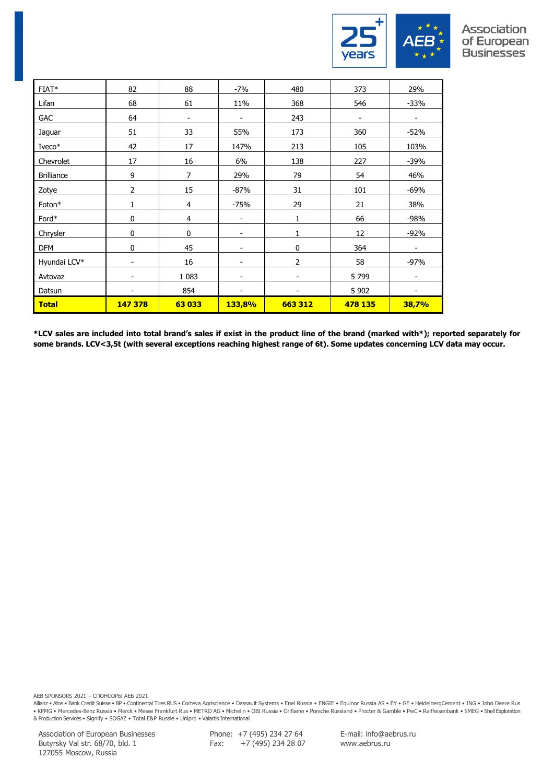

#### Association of European **Businesses**

| FIAT*             | 82      | 88                       | $-7%$                    | 480            | 373                      | 29%                      |
|-------------------|---------|--------------------------|--------------------------|----------------|--------------------------|--------------------------|
| Lifan             | 68      | 61                       | 11%                      | 368            | 546                      | $-33%$                   |
| <b>GAC</b>        | 64      | $\overline{\phantom{a}}$ | $\overline{\phantom{a}}$ | 243            | $\overline{\phantom{a}}$ | $\overline{\phantom{a}}$ |
| Jaguar            | 51      | 33                       | 55%                      | 173            | 360                      | $-52%$                   |
| Iveco*            | 42      | 17                       | 147%                     | 213            | 105                      | 103%                     |
| Chevrolet         | 17      | 16                       | 6%                       | 138            | 227                      | $-39%$                   |
| <b>Brilliance</b> | 9       | 7                        | 29%                      | 79             | 54                       | 46%                      |
| Zotye             | 2       | 15                       | $-87%$                   | 31             | 101                      | $-69%$                   |
| Foton*            | 1       | $\overline{4}$           | $-75%$                   | 29             | 21                       | 38%                      |
| Ford*             | 0       | $\overline{4}$           | $\overline{\phantom{a}}$ | 1              | 66                       | $-98%$                   |
| Chrysler          | 0       | 0                        | -                        | 1              | 12                       | $-92%$                   |
| <b>DFM</b>        | 0       | 45                       | -                        | 0              | 364                      | -                        |
| Hyundai LCV*      |         | 16                       |                          | $\overline{2}$ | 58                       | $-97%$                   |
| Avtovaz           |         | 1 0 8 3                  | -                        |                | 5799                     |                          |
| Datsun            |         | 854                      |                          |                | 5 9 0 2                  |                          |
| <b>Total</b>      | 147 378 | 63 033                   | 133,8%                   | 663 312        | 478 135                  | 38,7%                    |

**\*LCV sales are included into total brand's sales if exist in the product line of the brand (marked with\*); reported separately for some brands. LCV<3,5t (with several exceptions reaching highest range of 6t). Some updates concerning LCV data may occur.**

AEB SPONSORS 2021 – СПОНСОРЫ АЕБ 2021

Allianz • Atos • Bank Credit Suisse • BP • Continental Tires RUS • Corteva Agriscience • Dassault Systems • Enel Russia • ENGIE • Equinor Russia AS • EY • GE • HeidelbergCement • ING • John Deere Rus • KPMG • Mercedes-Benz Russia • Merck • Messe Frankfurt Rus • METRO AG • Michelin • OBI Russia • Oriflame • Porsche Russland • Procter & Gamble • PwC • Raiffeisenbank • SMEG • Shell Exploration<br>& Production Services • Sign

Association of European Businesses Butyrsky Val str. 68/70, bld. 1 127055 Moscow, Russia

Phone: +7 (495) 234 27 64 Fax: +7 (495) 234 28 07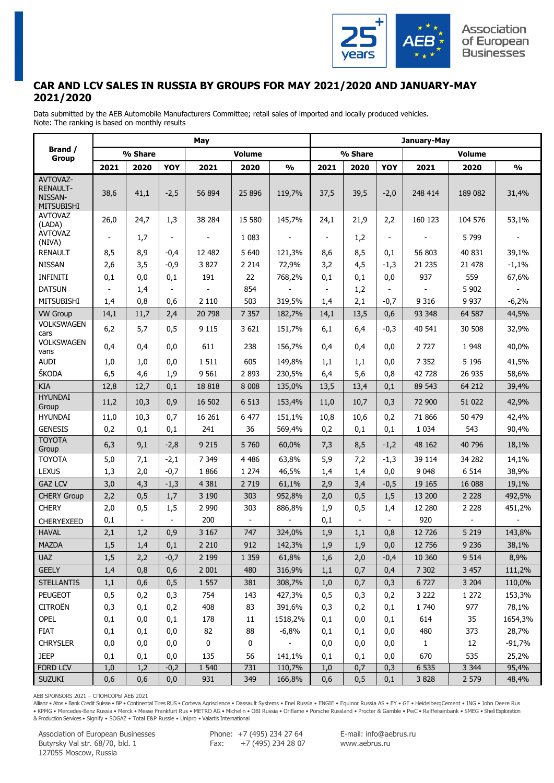

## **CAR AND LCV SALES IN RUSSIA BY GROUPS FOR MAY 2021/2020 AND JANUARY-MAY 2021/2020**

Data submitted by the AEB Automobile Manufacturers Committee; retail sales of imported and locally produced vehicles. Note: The ranking is based on monthly results

|                                                                    | May            |                          |                          |                          |                          |                          |                          | January-May              |                          |              |         |               |  |  |
|--------------------------------------------------------------------|----------------|--------------------------|--------------------------|--------------------------|--------------------------|--------------------------|--------------------------|--------------------------|--------------------------|--------------|---------|---------------|--|--|
| Brand /<br><b>Group</b>                                            |                | % Share                  |                          |                          | <b>Volume</b>            |                          | % Share<br><b>Volume</b> |                          |                          |              |         |               |  |  |
|                                                                    | 2021           | 2020                     | YOY                      | 2021                     | 2020                     | $\frac{1}{2}$            | 2021                     | 2020                     | YOY                      | 2021         | 2020    | $\frac{0}{0}$ |  |  |
| <b>AVTOVAZ-</b><br><b>RENAULT-</b><br>NISSAN-<br><b>MITSUBISHI</b> | 38,6           | 41,1                     | $-2,5$                   | 56 894                   | 25 896                   | 119,7%                   | 37,5                     | 39,5                     | $-2,0$                   | 248 414      | 189 082 | 31,4%         |  |  |
| <b>AVTOVAZ</b><br>(LADA)                                           | 26,0           | 24,7                     | 1,3                      | 38 284                   | 15 580                   | 145,7%                   | 24,1                     | 21,9                     | 2,2                      | 160 123      | 104 576 | 53,1%         |  |  |
| AVTOVAZ<br>(NIVA)                                                  | $\blacksquare$ | 1,7                      | $\blacksquare$           | $\overline{\phantom{a}}$ | 1 0 8 3                  | $\overline{\phantom{a}}$ | $\blacksquare$           | 1,2                      | $\overline{\phantom{a}}$ |              | 5799    |               |  |  |
| <b>RENAULT</b>                                                     | 8,5            | 8,9                      | $-0,4$                   | 12 482                   | 5 6 4 0                  | 121,3%                   | 8,6                      | 8,5                      | 0,1                      | 56 803       | 40 831  | 39,1%         |  |  |
| <b>NISSAN</b>                                                      | 2,6            | 3,5                      | $-0,9$                   | 3 8 2 7                  | 2 2 1 4                  | 72,9%                    | 3,2                      | 4,5                      | $-1,3$                   | 21 235       | 21 478  | $-1,1%$       |  |  |
| <b>INFINITI</b>                                                    | 0,1            | 0,0                      | 0,1                      | 191                      | 22                       | 768,2%                   | 0,1                      | 0,1                      | 0,0                      | 937          | 559     | 67,6%         |  |  |
| <b>DATSUN</b>                                                      | $\blacksquare$ | 1,4                      | $\overline{\phantom{a}}$ | $\overline{\phantom{a}}$ | 854                      |                          | $\blacksquare$           | 1,2                      | $\overline{\phantom{a}}$ |              | 5 9 0 2 |               |  |  |
| <b>MITSUBISHI</b>                                                  | 1,4            | 0,8                      | 0,6                      | 2 1 1 0                  | 503                      | 319,5%                   | 1,4                      | 2,1                      | $-0,7$                   | 9 3 1 6      | 9 9 3 7 | $-6,2%$       |  |  |
| <b>VW Group</b>                                                    | 14,1           | 11,7                     | 2,4                      | 20 798                   | 7 3 5 7                  | 182,7%                   | 14,1                     | 13,5                     | 0,6                      | 93 348       | 64 587  | 44,5%         |  |  |
| <b>VOLKSWAGEN</b><br>cars                                          | 6,2            | 5,7                      | 0,5                      | 9 1 1 5                  | 3 6 2 1                  | 151,7%                   | 6,1                      | 6,4                      | $-0,3$                   | 40 541       | 30 508  | 32,9%         |  |  |
| <b>VOLKSWAGEN</b><br>vans                                          | 0,4            | 0,4                      | 0,0                      | 611                      | 238                      | 156,7%                   | 0,4                      | 0,4                      | 0,0                      | 2 7 2 7      | 1948    | 40,0%         |  |  |
| <b>AUDI</b>                                                        | 1,0            | 1,0                      | 0,0                      | 1511                     | 605                      | 149,8%                   | 1,1                      | 1,1                      | 0,0                      | 7 3 5 2      | 5 1 9 6 | 41,5%         |  |  |
| ŠKODA                                                              | 6, 5           | 4,6                      | 1,9                      | 9 5 6 1                  | 2 8 9 3                  | 230,5%                   | 6,4                      | 5,6                      | 0,8                      | 42 728       | 26 935  | 58,6%         |  |  |
| <b>KIA</b>                                                         | 12,8           | 12,7                     | 0,1                      | 18 8 18                  | 8 0 0 8                  | 135,0%                   | 13,5                     | 13,4                     | 0,1                      | 89 543       | 64 212  | 39,4%         |  |  |
| <b>HYUNDAI</b><br>Group                                            | 11,2           | 10,3                     | 0,9                      | 16 502                   | 6 5 13                   | 153,4%                   | 11,0                     | 10,7                     | 0,3                      | 72 900       | 51 022  | 42,9%         |  |  |
| <b>HYUNDAI</b>                                                     | 11,0           | 10,3                     | 0,7                      | 16 26 1                  | 6 477                    | 151,1%                   | 10,8                     | 10,6                     | 0,2                      | 71 866       | 50 479  | 42,4%         |  |  |
| <b>GENESIS</b>                                                     | 0,2            | 0,1                      | 0,1                      | 241                      | 36                       | 569,4%                   | 0,2                      | 0,1                      | 0,1                      | 1 0 3 4      | 543     | 90,4%         |  |  |
| <b>TOYOTA</b><br>Group                                             | 6,3            | 9,1                      | $-2,8$                   | 9 2 1 5                  | 5 7 6 0                  | 60,0%                    | 7,3                      | 8,5                      | $-1,2$                   | 48 162       | 40 796  | 18,1%         |  |  |
| <b>TOYOTA</b>                                                      | 5,0            | 7,1                      | $-2,1$                   | 7 3 4 9                  | 4 4 8 6                  | 63,8%                    | 5,9                      | 7,2                      | $-1,3$                   | 39 114       | 34 282  | 14,1%         |  |  |
| <b>LEXUS</b>                                                       | 1,3            | 2,0                      | $-0,7$                   | 1866                     | 1 2 7 4                  | 46,5%                    | 1,4                      | 1,4                      | 0,0                      | 9 0 48       | 6 5 1 4 | 38,9%         |  |  |
| <b>GAZ LCV</b>                                                     | 3,0            | 4,3                      | $-1,3$                   | 4 3 8 1                  | 2 7 19                   | 61,1%                    | 2,9                      | 3,4                      | $-0,5$                   | 19 16 5      | 16 088  | 19,1%         |  |  |
| <b>CHERY Group</b>                                                 | 2,2            | 0, 5                     | 1,7                      | 3 1 9 0                  | 303                      | 952,8%                   | 2,0                      | 0, 5                     | 1,5                      | 13 200       | 2 2 2 8 | 492,5%        |  |  |
| <b>CHERY</b>                                                       | 2,0            | 0, 5                     | 1,5                      | 2 9 9 0                  | 303                      | 886,8%                   | 1,9                      | 0,5                      | 1,4                      | 12 280       | 2 2 2 8 | 451,2%        |  |  |
| <b>CHERYEXEED</b>                                                  | 0,1            | $\overline{\phantom{a}}$ |                          | 200                      | $\overline{\phantom{a}}$ |                          | 0,1                      | $\overline{\phantom{a}}$ | $\overline{\phantom{a}}$ | 920          |         |               |  |  |
| <b>HAVAL</b>                                                       | 2,1            | 1,2                      | 0,9                      | 3 1 6 7                  | 747                      | 324,0%                   | 1,9                      | 1,1                      | 0,8                      | 12 7 26      | 5 2 1 9 | 143,8%        |  |  |
| <b>MAZDA</b>                                                       | 1,5            | 1,4                      | 0,1                      | 2 2 1 0                  | 912                      | 142,3%                   | 1,9                      | 1,9                      | 0,0                      | 12 756       | 9 2 3 6 | 38,1%         |  |  |
| <b>UAZ</b>                                                         | 1,5            | 2,2                      | $-0,7$                   | 2 1 9 9                  | 1 3 5 9                  | 61,8%                    | 1,6                      | 2,0                      | $-0,4$                   | 10 360       | 9 5 1 4 | 8,9%          |  |  |
| <b>GEELY</b>                                                       | 1,4            | 0,8                      | 0,6                      | 2 0 0 1                  | 480                      | 316,9%                   | 1,1                      | 0,7                      | 0,4                      | 7 3 0 2      | 3 4 5 7 | 111,2%        |  |  |
| <b>STELLANTIS</b>                                                  | 1,1            | 0,6                      | 0,5                      | 1 5 5 7                  | 381                      | 308,7%                   | 1,0                      | 0,7                      | 0,3                      | 6 7 2 7      | 3 2 0 4 | 110,0%        |  |  |
| PEUGEOT                                                            | 0,5            | 0,2                      | 0,3                      | 754                      | 143                      | 427,3%                   | 0,5                      | 0,3                      | 0,2                      | 3 2 2 2      | 1 272   | 153,3%        |  |  |
| <b>CITROËN</b>                                                     | 0,3            | 0,1                      | 0,2                      | 408                      | 83                       | 391,6%                   | 0,3                      | 0,2                      | 0,1                      | 1 740        | 977     | 78,1%         |  |  |
| OPEL                                                               | 0,1            | 0,0                      | 0,1                      | 178                      | $11\,$                   | 1518,2%                  | 0,1                      | 0,0                      | 0,1                      | 614          | 35      | 1654,3%       |  |  |
| <b>FIAT</b>                                                        | 0,1            | 0,1                      | 0,0                      | 82                       | 88                       | $-6,8%$                  | 0,1                      | 0,1                      | 0,0                      | 480          | 373     | 28,7%         |  |  |
| <b>CHRYSLER</b>                                                    | 0,0            | 0,0                      | 0,0                      | 0                        | 0                        |                          | 0,0                      | 0,0                      | 0,0                      | $\mathbf{1}$ | 12      | $-91,7%$      |  |  |
| <b>JEEP</b>                                                        | 0,1            | 0,1                      | 0,0                      | 135                      | 56                       | 141,1%                   | 0,1                      | 0,1                      | 0,0                      | 670          | 535     | 25,2%         |  |  |
| FORD LCV                                                           | 1,0            | 1,2                      | $-0,2$                   | 1 5 4 0                  | 731                      | 110,7%                   | 1,0                      | 0,7                      | 0,3                      | 6 5 3 5      | 3 3 4 4 | 95,4%         |  |  |
| <b>SUZUKI</b>                                                      | 0,6            | 0,6                      | 0,0                      | 931                      | 349                      | 166,8%                   | 0,6                      | 0, 5                     | 0,1                      | 3 8 28       | 2 579   | 48,4%         |  |  |

AEB SPONSORS 2021 – СПОНСОРЫ АЕБ 2021

Allianz • Atos • Bank Credit Suisse • BP • Continental Tires RUS • Corteva Agriscience • Dassault Systems • Enel Russia • ENGIE • Equinor Russia AS • EY • GE • HeidelbergCement • ING • John Deere Rus • KPMG • Mercedes-Benz Russia • Merck • Messe Frankfurt Rus • METRO AG • Michelin • OBI Russia • Oriflame • Porsche Russland • Procter & Gamble • PwC • Raiffeisenbank • SMEG • Shell Exploration & Production Services • Signify • SOGAZ • Total E&P Russie • Unipro • Valartis International

Association of European Businesses Butyrsky Val str. 68/70, bld. 1 127055 Moscow, Russia

Phone: +7 (495) 234 27 64 Fax:  $+7(495)$  234 28 07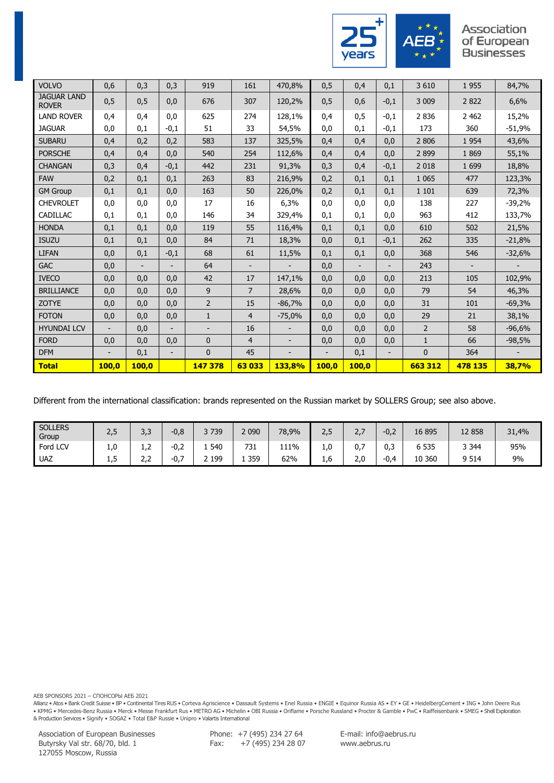

#### Association of European **Businesses**

| <b>VOLVO</b>                       | 0,6                      | 0,3                      | 0,3                      | 919            | 161            | 470,8%                   | 0,5                      | 0,4                      | 0,1                      | 3 6 1 0        | 1955                     | 84,7%    |
|------------------------------------|--------------------------|--------------------------|--------------------------|----------------|----------------|--------------------------|--------------------------|--------------------------|--------------------------|----------------|--------------------------|----------|
| <b>JAGUAR LAND</b><br><b>ROVER</b> | 0,5                      | 0, 5                     | 0,0                      | 676            | 307            | 120,2%                   | 0,5                      | 0,6                      | $-0,1$                   | 3 0 0 9        | 2822                     | 6,6%     |
| <b>LAND ROVER</b>                  | 0,4                      | 0,4                      | 0,0                      | 625            | 274            | 128,1%                   | 0.4                      | 0,5                      | $-0,1$                   | 2 8 3 6        | 2 4 6 2                  | 15,2%    |
| <b>JAGUAR</b>                      | 0,0                      | 0,1                      | $-0,1$                   | 51             | 33             | 54,5%                    | 0,0                      | 0,1                      | $-0,1$                   | 173            | 360                      | $-51,9%$ |
| <b>SUBARU</b>                      | 0,4                      | 0,2                      | 0,2                      | 583            | 137            | 325,5%                   | 0,4                      | 0,4                      | 0,0                      | 2 8 0 6        | 1954                     | 43,6%    |
| <b>PORSCHE</b>                     | 0,4                      | 0,4                      | 0,0                      | 540            | 254            | 112.6%                   | 0.4                      | 0,4                      | 0,0                      | 2 8 9 9        | 1869                     | 55,1%    |
| <b>CHANGAN</b>                     | 0,3                      | 0,4                      | $-0,1$                   | 442            | 231            | 91,3%                    | 0,3                      | 0,4                      | $-0,1$                   | 2 0 18         | 1 6 9 9                  | 18,8%    |
| <b>FAW</b>                         | 0,2                      | 0,1                      | 0,1                      | 263            | 83             | 216,9%                   | 0,2                      | 0,1                      | 0,1                      | 1 0 6 5        | 477                      | 123,3%   |
| <b>GM Group</b>                    | 0,1                      | 0,1                      | 0,0                      | 163            | 50             | 226,0%                   | 0,2                      | 0,1                      | 0,1                      | 1 1 0 1        | 639                      | 72,3%    |
| <b>CHEVROLET</b>                   | 0,0                      | 0,0                      | 0,0                      | 17             | 16             | 6,3%                     | 0,0                      | 0,0                      | 0,0                      | 138            | 227                      | $-39,2%$ |
| CADILLAC                           | 0,1                      | 0,1                      | 0,0                      | 146            | 34             | 329,4%                   | 0.1                      | 0,1                      | 0,0                      | 963            | 412                      | 133,7%   |
| <b>HONDA</b>                       | 0,1                      | 0,1                      | 0,0                      | 119            | 55             | 116,4%                   | 0,1                      | 0,1                      | 0,0                      | 610            | 502                      | 21,5%    |
| <b>ISUZU</b>                       | 0,1                      | 0,1                      | 0,0                      | 84             | 71             | 18,3%                    | 0,0                      | 0,1                      | $-0,1$                   | 262            | 335                      | $-21,8%$ |
| <b>LIFAN</b>                       | 0,0                      | 0,1                      | $-0,1$                   | 68             | 61             | 11,5%                    | 0,1                      | 0,1                      | 0,0                      | 368            | 546                      | $-32,6%$ |
| <b>GAC</b>                         | 0,0                      | $\overline{\phantom{a}}$ | $\overline{\phantom{a}}$ | 64             | -              |                          | 0,0                      | $\overline{\phantom{a}}$ | $\overline{\phantom{0}}$ | 243            | $\overline{\phantom{a}}$ |          |
| <b>IVECO</b>                       | 0,0                      | 0,0                      | 0,0                      | 42             | 17             | 147,1%                   | 0.0                      | 0,0                      | 0,0                      | 213            | 105                      | 102,9%   |
| <b>BRILLIANCE</b>                  | 0,0                      | 0,0                      | 0,0                      | 9              | $\overline{7}$ | 28.6%                    | 0.0                      | 0,0                      | 0,0                      | 79             | 54                       | 46,3%    |
| <b>ZOTYE</b>                       | 0,0                      | 0,0                      | 0,0                      | $\overline{2}$ | 15             | $-86,7%$                 | 0,0                      | 0,0                      | 0,0                      | 31             | 101                      | $-69,3%$ |
| <b>FOTON</b>                       | 0,0                      | 0,0                      | 0,0                      | $\mathbf{1}$   | $\overline{4}$ | $-75,0%$                 | 0,0                      | 0,0                      | 0,0                      | 29             | 21                       | 38,1%    |
| <b>HYUNDAI LCV</b>                 | $\overline{\phantom{a}}$ | 0,0                      | $\overline{\phantom{a}}$ |                | 16             |                          | 0,0                      | 0,0                      | 0,0                      | $\overline{2}$ | 58                       | $-96,6%$ |
| <b>FORD</b>                        | 0,0                      | 0,0                      | 0,0                      | $\mathbf{0}$   | $\overline{4}$ |                          | 0,0                      | 0,0                      | 0,0                      | $\mathbf{1}$   | 66                       | $-98,5%$ |
| <b>DFM</b>                         | $\overline{\phantom{0}}$ | 0,1                      | $\overline{\phantom{a}}$ | $\mathbf{0}$   | 45             | $\overline{\phantom{0}}$ | $\overline{\phantom{0}}$ | 0,1                      | -                        | $\mathbf{0}$   | 364                      |          |
| <b>Total</b>                       | 100.0                    | 100,0                    |                          | 147 378        | 63033          | 133,8%                   | 100,0                    | 100.0                    |                          | 663 312        | 478 135                  | 38,7%    |

Different from the international classification: brands represented on the Russian market by SOLLERS Group; see also above.

| <b>SOLLERS</b><br>Group | 2,5      | っっ<br>ن,ر                        | n o<br>-v,c           | 3739 | 2 090 | 78,9% | ח ר<br>ر ے | <u>.,</u> | $-0,2$       | 16 895      | 12 858  | 31,4% |
|-------------------------|----------|----------------------------------|-----------------------|------|-------|-------|------------|-----------|--------------|-------------|---------|-------|
| Ford LCV                | 1,0      | $\overline{\phantom{a}}$<br>1, Z | ົ່<br>-∪,∠            | 540  | 731   | 111%  | 1,U        | -<br>0,7  | 0,3          | 6 5 3 5     | 3 3 4 4 | 95%   |
| <b>UAZ</b>              | -<br>ر د | . .<br>ے،ے                       | $\sim$ $\sim$<br>-v., | 199  | 359   | 62%   | 1.b        | 2,0       | $-0.4$<br>v. | 360 ا<br>10 | 9 5 1 4 | 9%    |

AEB SPONSORS 2021 – СПОНСОРЫ АЕБ 2021

Allianz • Atos • Bank Credit Suisse • BP • Continental Tires RUS • Corteva Agriscience • Dassault Systems • Enel Russia • ENGIE • Equinor Russia AS • EY • GE • HeidelbergCement • ING • John Deere Rus • KPMG • Mercedes-Benz Russia • Merck • Messe Frankfurt Rus • METRO AG • Michelin • OBI Russia • Oriflame • Porsche Russland • Procter & Gamble • PwC • Raiffeisenbank • SMEG • Shell Exploration<br>& Production Services • Sign

Phone: +7 (495) 234 27 64  $Fax:$   $+7$  (495) 234 28 07